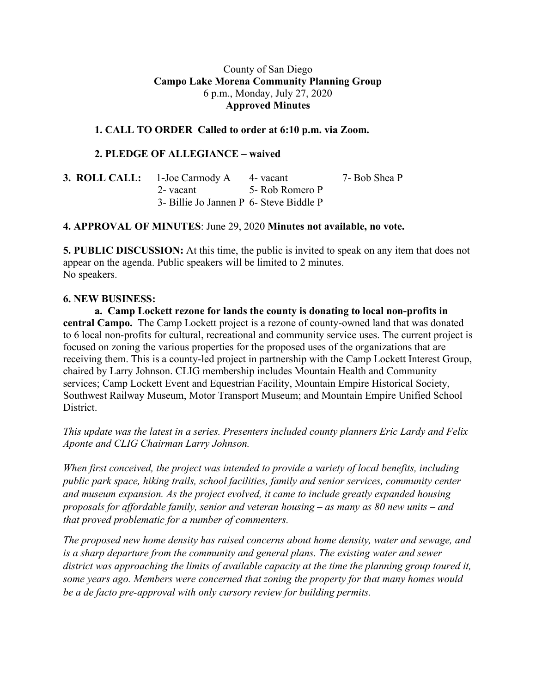### County of San Diego **Campo Lake Morena Community Planning Group** 6 p.m., Monday, July 27, 2020 **Approved Minutes**

### **1. CALL TO ORDER Called to order at 6:10 p.m. via Zoom.**

#### **2. PLEDGE OF ALLEGIANCE – waived**

| <b>3. ROLL CALL:</b> 1-Joe Carmody A 4- vacant |  | 7- Bob Shea P |
|------------------------------------------------|--|---------------|
| 2- vacant 5- Rob Romero P                      |  |               |
| 3- Billie Jo Jannen P 6- Steve Biddle P        |  |               |

### **4. APPROVAL OF MINUTES**: June 29, 2020 **Minutes not available, no vote.**

**5. PUBLIC DISCUSSION:** At this time, the public is invited to speak on any item that does not appear on the agenda. Public speakers will be limited to 2 minutes. No speakers.

#### **6. NEW BUSINESS:**

**a. Camp Lockett rezone for lands the county is donating to local non-profits in central Campo.** The Camp Lockett project is a rezone of county-owned land that was donated to 6 local non-profits for cultural, recreational and community service uses. The current project is focused on zoning the various properties for the proposed uses of the organizations that are receiving them. This is a county-led project in partnership with the Camp Lockett Interest Group, chaired by Larry Johnson. CLIG membership includes Mountain Health and Community services; Camp Lockett Event and Equestrian Facility, Mountain Empire Historical Society, Southwest Railway Museum, Motor Transport Museum; and Mountain Empire Unified School **District.** 

*This update was the latest in a series. Presenters included county planners Eric Lardy and Felix Aponte and CLIG Chairman Larry Johnson.*

*When first conceived, the project was intended to provide a variety of local benefits, including public park space, hiking trails, school facilities, family and senior services, community center and museum expansion. As the project evolved, it came to include greatly expanded housing proposals for affordable family, senior and veteran housing – as many as 80 new units – and that proved problematic for a number of commenters.*

*The proposed new home density has raised concerns about home density, water and sewage, and is a sharp departure from the community and general plans. The existing water and sewer district was approaching the limits of available capacity at the time the planning group toured it, some years ago. Members were concerned that zoning the property for that many homes would be a de facto pre-approval with only cursory review for building permits.*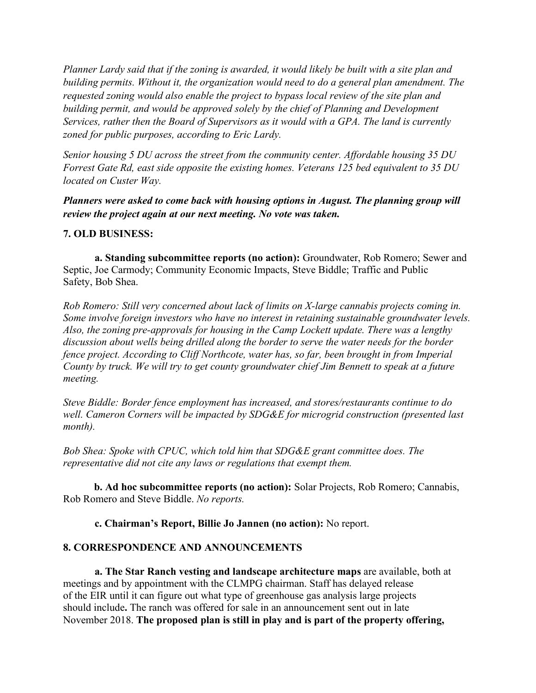Planner Lardy said that if the zoning is awarded, it would likely be built with a site plan and *building permits. Without it, the organization would need to do a general plan amendment. The requested zoning would also enable the project to bypass local review of the site plan and building permit, and would be approved solely by the chief of Planning and Development Services, rather then the Board of Supervisors as it would with a GPA. The land is currently zoned for public purposes, according to Eric Lardy.*

*Senior housing 5 DU across the street from the community center. Affordable housing 35 DU Forrest Gate Rd, east side opposite the existing homes. Veterans 125 bed equivalent to 35 DU located on Custer Way.*

*Planners were asked to come back with housing options in August. The planning group will review the project again at our next meeting. No vote was taken.*

# **7. OLD BUSINESS:**

**a. Standing subcommittee reports (no action):** Groundwater, Rob Romero; Sewer and Septic, Joe Carmody; Community Economic Impacts, Steve Biddle; Traffic and Public Safety, Bob Shea.

*Rob Romero: Still very concerned about lack of limits on X-large cannabis projects coming in. Some involve foreign investors who have no interest in retaining sustainable groundwater levels. Also, the zoning pre-approvals for housing in the Camp Lockett update. There was a lengthy discussion about wells being drilled along the border to serve the water needs for the border fence project. According to Cliff Northcote, water has, so far, been brought in from Imperial County by truck. We will try to get county groundwater chief Jim Bennett to speak at a future meeting.*

*Steve Biddle: Border fence employment has increased, and stores/restaurants continue to do well. Cameron Corners will be impacted by SDG&E for microgrid construction (presented last month).*

*Bob Shea: Spoke with CPUC, which told him that SDG&E grant committee does. The representative did not cite any laws or regulations that exempt them.*

**b. Ad hoc subcommittee reports (no action):** Solar Projects, Rob Romero; Cannabis, Rob Romero and Steve Biddle. *No reports.*

**c. Chairman's Report, Billie Jo Jannen (no action):** No report.

# **8. CORRESPONDENCE AND ANNOUNCEMENTS**

**a. The Star Ranch vesting and landscape architecture maps** are available, both at meetings and by appointment with the CLMPG chairman. Staff has delayed release of the EIR until it can figure out what type of greenhouse gas analysis large projects should include**.** The ranch was offered for sale in an announcement sent out in late November 2018. **The proposed plan is still in play and is part of the property offering,**